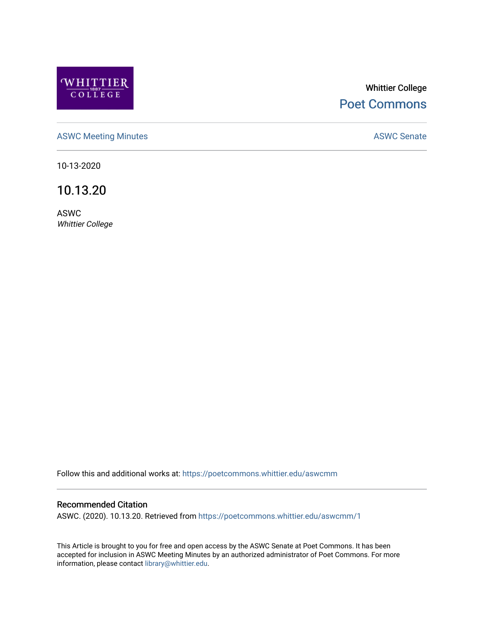

# Whittier College [Poet Commons](https://poetcommons.whittier.edu/)

[ASWC Meeting Minutes](https://poetcommons.whittier.edu/aswcmm) **ASWC Senate** 

10-13-2020

10.13.20

ASWC Whittier College

Follow this and additional works at: [https://poetcommons.whittier.edu/aswcmm](https://poetcommons.whittier.edu/aswcmm?utm_source=poetcommons.whittier.edu%2Faswcmm%2F1&utm_medium=PDF&utm_campaign=PDFCoverPages)

#### Recommended Citation

ASWC. (2020). 10.13.20. Retrieved from [https://poetcommons.whittier.edu/aswcmm/1](https://poetcommons.whittier.edu/aswcmm/1?utm_source=poetcommons.whittier.edu%2Faswcmm%2F1&utm_medium=PDF&utm_campaign=PDFCoverPages)

This Article is brought to you for free and open access by the ASWC Senate at Poet Commons. It has been accepted for inclusion in ASWC Meeting Minutes by an authorized administrator of Poet Commons. For more information, please contact [library@whittier.edu.](mailto:library@whittier.edu)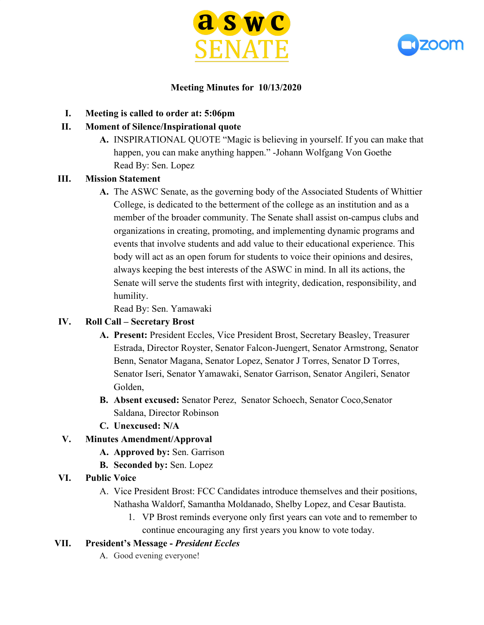



#### **Meeting Minutes for 10/13/2020**

**I. Meeting is called to order at: 5:06pm**

### **II. Moment of Silence/Inspirational quote**

**A.** INSPIRATIONAL QUOTE "Magic is believing in yourself. If you can make that happen, you can make anything happen." -Johann Wolfgang Von Goethe Read By: Sen. Lopez

### **III. Mission Statement**

**A.** The ASWC Senate, as the governing body of the Associated Students of Whittier College, is dedicated to the betterment of the college as an institution and as a member of the broader community. The Senate shall assist on-campus clubs and organizations in creating, promoting, and implementing dynamic programs and events that involve students and add value to their educational experience. This body will act as an open forum for students to voice their opinions and desires, always keeping the best interests of the ASWC in mind. In all its actions, the Senate will serve the students first with integrity, dedication, responsibility, and humility.

Read By: Sen. Yamawaki

### **IV. Roll Call – Secretary Brost**

- **A. Present:** President Eccles, Vice President Brost, Secretary Beasley, Treasurer Estrada, Director Royster, Senator Falcon-Juengert, Senator Armstrong, Senator Benn, Senator Magana, Senator Lopez, Senator J Torres, Senator D Torres, Senator Iseri, Senator Yamawaki, Senator Garrison, Senator Angileri, Senator Golden,
- **B. Absent excused:** Senator Perez, Senator Schoech, Senator Coco,Senator Saldana, Director Robinson
- **C. Unexcused: N/A**

### **V. Minutes Amendment/Approval**

- **A. Approved by:** Sen. Garrison
- **B. Seconded by:** Sen. Lopez
- **VI. Public Voice**
	- A. Vice President Brost: FCC Candidates introduce themselves and their positions, Nathasha Waldorf, Samantha Moldanado, Shelby Lopez, and Cesar Bautista.
		- 1. VP Brost reminds everyone only first years can vote and to remember to continue encouraging any first years you know to vote today.

### **VII. President's Message -** *President Eccles*

A. Good evening everyone!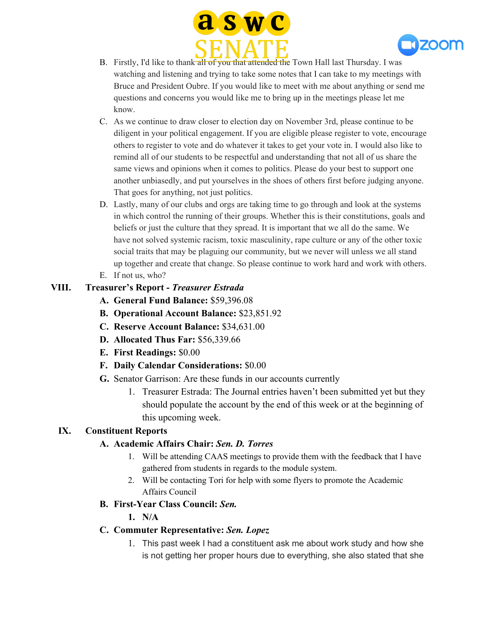



- B. Firstly, I'd like to thank all of you that attended the Town Hall last Thursday. I was watching and listening and trying to take some notes that I can take to my meetings with Bruce and President Oubre. If you would like to meet with me about anything or send me questions and concerns you would like me to bring up in the meetings please let me know.
- C. As we continue to draw closer to election day on November 3rd, please continue to be diligent in your political engagement. If you are eligible please register to vote, encourage others to register to vote and do whatever it takes to get your vote in. I would also like to remind all of our students to be respectful and understanding that not all of us share the same views and opinions when it comes to politics. Please do your best to support one another unbiasedly, and put yourselves in the shoes of others first before judging anyone. That goes for anything, not just politics.
- D. Lastly, many of our clubs and orgs are taking time to go through and look at the systems in which control the running of their groups. Whether this is their constitutions, goals and beliefs or just the culture that they spread. It is important that we all do the same. We have not solved systemic racism, toxic masculinity, rape culture or any of the other toxic social traits that may be plaguing our community, but we never will unless we all stand up together and create that change. So please continue to work hard and work with others.
- E. If not us, who?

### **VIII. Treasurer's Report -** *Treasurer Estrada*

- **A. General Fund Balance:** \$59,396.08
- **B. Operational Account Balance:** \$23,851.92
- **C. Reserve Account Balance:** \$34,631.00
- **D. Allocated Thus Far:** \$56,339.66
- **E. First Readings:** \$0.00
- **F. Daily Calendar Considerations:** \$0.00
- **G.** Senator Garrison: Are these funds in our accounts currently
	- 1. Treasurer Estrada: The Journal entries haven't been submitted yet but they should populate the account by the end of this week or at the beginning of this upcoming week.

#### **IX. Constituent Reports**

#### **A. Academic Affairs Chair:** *Sen. D. Torres*

- 1. Will be attending CAAS meetings to provide them with the feedback that I have gathered from students in regards to the module system.
- 2. Will be contacting Tori for help with some flyers to promote the Academic Affairs Council

#### **B. First-Year Class Council:** *Sen.*

**1. N/A**

#### **C. Commuter Representative:** *Sen. Lopez*

1. This past week I had a constituent ask me about work study and how she is not getting her proper hours due to everything, she also stated that she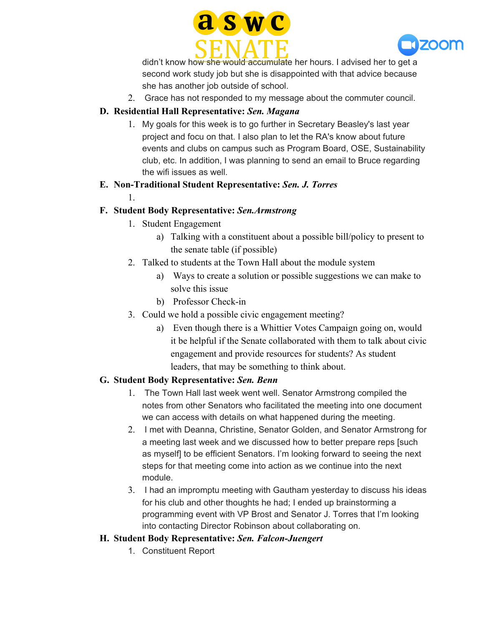



didn't know how she would accumulate her hours. I advised her to get a second work study job but she is disappointed with that advice because she has another job outside of school.

2. Grace has not responded to my message about the commuter council.

### **D. Residential Hall Representative:** *Sen. Magana*

1. My goals for this week is to go further in Secretary Beasley's last year project and focu on that. I also plan to let the RA's know about future events and clubs on campus such as Program Board, OSE, Sustainability club, etc. In addition, I was planning to send an email to Bruce regarding the wifi issues as well.

### **E. Non-Traditional Student Representative:** *Sen. J. Torres*

1.

# **F. Student Body Representative:** *Sen.Armstrong*

- 1. Student Engagement
	- a) Talking with a constituent about a possible bill/policy to present to the senate table (if possible)
- 2. Talked to students at the Town Hall about the module system
	- a) Ways to create a solution or possible suggestions we can make to solve this issue
	- b) Professor Check-in
- 3. Could we hold a possible civic engagement meeting?
	- a) Even though there is a Whittier Votes Campaign going on, would it be helpful if the Senate collaborated with them to talk about civic engagement and provide resources for students? As student leaders, that may be something to think about.

### **G. Student Body Representative:** *Sen. Benn*

- 1. The Town Hall last week went well. Senator Armstrong compiled the notes from other Senators who facilitated the meeting into one document we can access with details on what happened during the meeting.
- 2. I met with Deanna, Christine, Senator Golden, and Senator Armstrong for a meeting last week and we discussed how to better prepare reps [such as myself] to be efficient Senators. I'm looking forward to seeing the next steps for that meeting come into action as we continue into the next module.
- 3. I had an impromptu meeting with Gautham yesterday to discuss his ideas for his club and other thoughts he had; I ended up brainstorming a programming event with VP Brost and Senator J. Torres that I'm looking into contacting Director Robinson about collaborating on.

### **H. Student Body Representative:** *Sen. Falcon-Juengert*

1. Constituent Report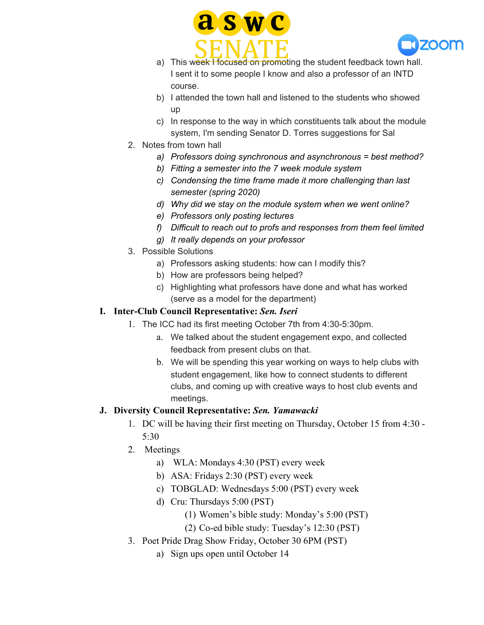



- a) This week I focused on promoting the student feedback town hall. I sent it to some people I know and also a professor of an INTD course.
- b) I attended the town hall and listened to the students who showed up
- c) In response to the way in which constituents talk about the module system, I'm sending Senator D. Torres suggestions for Sal
- 2. Notes from town hall
	- *a) Professors doing synchronous and asynchronous = best method?*
	- *b) Fitting a semester into the 7 week module system*
	- *c) Condensing the time frame made it more challenging than last semester (spring 2020)*
	- *d) Why did we stay on the module system when we went online?*
	- *e) Professors only posting lectures*
	- *f) Difficult to reach out to profs and responses from them feel limited*
	- *g) It really depends on your professor*
- 3. Possible Solutions
	- a) Professors asking students: how can I modify this?
	- b) How are professors being helped?
	- c) Highlighting what professors have done and what has worked (serve as a model for the department)

# **I. Inter-Club Council Representative:** *Sen. Iseri*

- 1. The ICC had its first meeting October 7th from 4:30-5:30pm.
	- a. We talked about the student engagement expo, and collected feedback from present clubs on that.
	- b. We will be spending this year working on ways to help clubs with student engagement, like how to connect students to different clubs, and coming up with creative ways to host club events and meetings.

# **J. Diversity Council Representative:** *Sen. Yamawacki*

- 1. DC will be having their first meeting on Thursday, October 15 from 4:30 5:30
- 2. Meetings
	- a) WLA: Mondays 4:30 (PST) every week
	- b) ASA: Fridays 2:30 (PST) every week
	- c) TOBGLAD: Wednesdays 5:00 (PST) every week
	- d) Cru: Thursdays 5:00 (PST)
		- (1) Women's bible study: Monday's 5:00 (PST)
		- (2) Co-ed bible study: Tuesday's 12:30 (PST)
- 3. Poet Pride Drag Show Friday, October 30 6PM (PST)
	- a) Sign ups open until October 14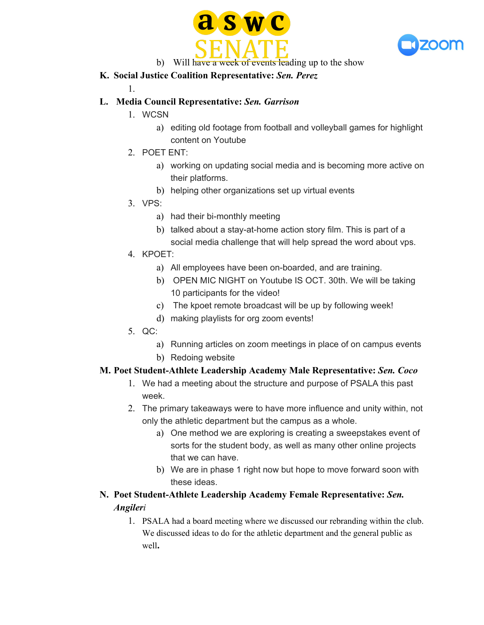



b) Will have a week of events leading up to the show

### **K. Social Justice Coalition Representative:** *Sen. Perez*

1.

# **L. Media Council Representative:** *Sen. Garrison*

- 1. WCSN
	- a) editing old footage from football and volleyball games for highlight content on Youtube
- 2. POET ENT:
	- a) working on updating social media and is becoming more active on their platforms.
	- b) helping other organizations set up virtual events
- 3. VPS:
	- a) had their bi-monthly meeting
	- b) talked about a stay-at-home action story film. This is part of a social media challenge that will help spread the word about vps.
- 4. KPOET:
	- a) All employees have been on-boarded, and are training.
	- b) OPEN MIC NIGHT on Youtube IS OCT. 30th. We will be taking 10 participants for the video!
	- c) The kpoet remote broadcast will be up by following week!
	- d) making playlists for org zoom events!
- 5. QC:
	- a) Running articles on zoom meetings in place of on campus events
	- b) Redoing website

# **M. Poet Student-Athlete Leadership Academy Male Representative:** *Sen. Coco*

- 1. We had a meeting about the structure and purpose of PSALA this past week.
- 2. The primary takeaways were to have more influence and unity within, not only the athletic department but the campus as a whole.
	- a) One method we are exploring is creating a sweepstakes event of sorts for the student body, as well as many other online projects that we can have.
	- b) We are in phase 1 right now but hope to move forward soon with these ideas.
- **N. Poet Student-Athlete Leadership Academy Female Representative:** *Sen. Angileri*
	- 1. PSALA had a board meeting where we discussed our rebranding within the club. We discussed ideas to do for the athletic department and the general public as well**.**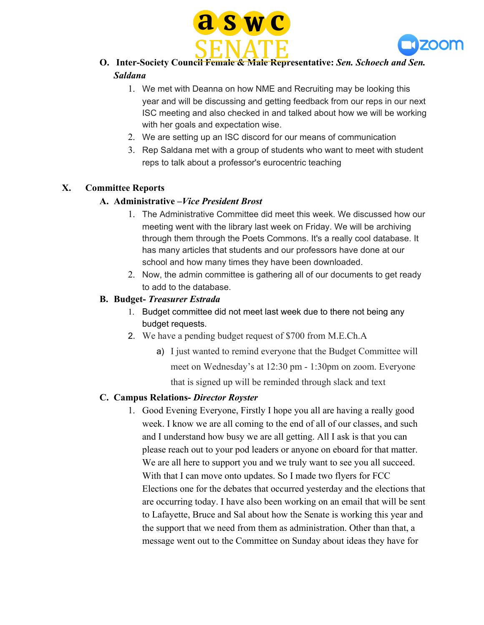



- **O. Inter-Society Council Female & Male Representative:** *Sen. Schoech and Sen. Saldana*
	- 1. We met with Deanna on how NME and Recruiting may be looking this year and will be discussing and getting feedback from our reps in our next ISC meeting and also checked in and talked about how we will be working with her goals and expectation wise.
	- 2. We are setting up an ISC discord for our means of communication
	- 3. Rep Saldana met with a group of students who want to meet with student reps to talk about a professor's eurocentric teaching

#### **X. Committee Reports**

#### **A. Administrative –***Vice President Brost*

- 1. The Administrative Committee did meet this week. We discussed how our meeting went with the library last week on Friday. We will be archiving through them through the Poets Commons. It's a really cool database. It has many articles that students and our professors have done at our school and how many times they have been downloaded.
- 2. Now, the admin committee is gathering all of our documents to get ready to add to the database.

#### **B. Budget-** *Treasurer Estrada*

- 1. Budget committee did not meet last week due to there not being any budget requests.
- 2. We have a pending budget request of \$700 from M.E.Ch.A
	- a) I just wanted to remind everyone that the Budget Committee will meet on Wednesday's at 12:30 pm - 1:30pm on zoom. Everyone that is signed up will be reminded through slack and text

#### **C. Campus Relations-** *Director Royster*

1. Good Evening Everyone, Firstly I hope you all are having a really good week. I know we are all coming to the end of all of our classes, and such and I understand how busy we are all getting. All I ask is that you can please reach out to your pod leaders or anyone on eboard for that matter. We are all here to support you and we truly want to see you all succeed. With that I can move onto updates. So I made two flyers for FCC Elections one for the debates that occurred yesterday and the elections that are occurring today. I have also been working on an email that will be sent to Lafayette, Bruce and Sal about how the Senate is working this year and the support that we need from them as administration. Other than that, a message went out to the Committee on Sunday about ideas they have for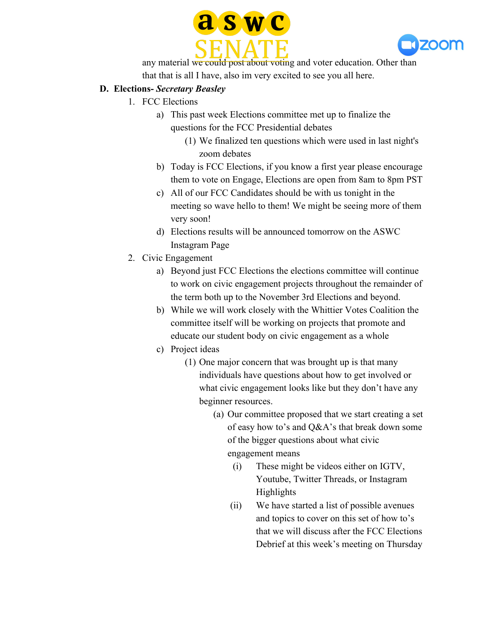



any material we could post about voting and voter education. Other than that that is all I have, also im very excited to see you all here.

#### **D. Elections-** *Secretary Beasley*

- 1. FCC Elections
	- a) This past week Elections committee met up to finalize the questions for the FCC Presidential debates
		- (1) We finalized ten questions which were used in last night's zoom debates
	- b) Today is FCC Elections, if you know a first year please encourage them to vote on Engage, Elections are open from 8am to 8pm PST
	- c) All of our FCC Candidates should be with us tonight in the meeting so wave hello to them! We might be seeing more of them very soon!
	- d) Elections results will be announced tomorrow on the ASWC Instagram Page
- 2. Civic Engagement
	- a) Beyond just FCC Elections the elections committee will continue to work on civic engagement projects throughout the remainder of the term both up to the November 3rd Elections and beyond.
	- b) While we will work closely with the Whittier Votes Coalition the committee itself will be working on projects that promote and educate our student body on civic engagement as a whole
	- c) Project ideas
		- (1) One major concern that was brought up is that many individuals have questions about how to get involved or what civic engagement looks like but they don't have any beginner resources.
			- (a) Our committee proposed that we start creating a set of easy how to's and Q&A's that break down some of the bigger questions about what civic engagement means
				- (i) These might be videos either on IGTV, Youtube, Twitter Threads, or Instagram Highlights
				- (ii) We have started a list of possible avenues and topics to cover on this set of how to's that we will discuss after the FCC Elections Debrief at this week's meeting on Thursday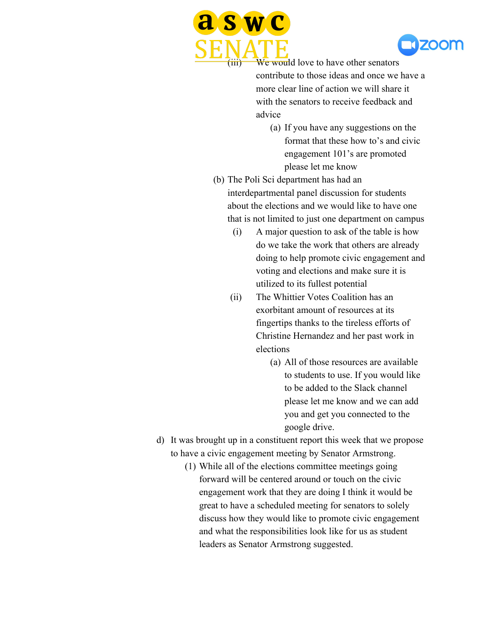



We would love to have other senators contribute to those ideas and once we have a more clear line of action we will share it with the senators to receive feedback and advice

- (a) If you have any suggestions on the format that these how to's and civic engagement 101's are promoted please let me know
- (b) The Poli Sci department has had an interdepartmental panel discussion for students about the elections and we would like to have one that is not limited to just one department on campus
	- (i) A major question to ask of the table is how do we take the work that others are already doing to help promote civic engagement and voting and elections and make sure it is utilized to its fullest potential
	- (ii) The Whittier Votes Coalition has an exorbitant amount of resources at its fingertips thanks to the tireless efforts of Christine Hernandez and her past work in elections
		- (a) All of those resources are available to students to use. If you would like to be added to the Slack channel please let me know and we can add you and get you connected to the google drive.
- d) It was brought up in a constituent report this week that we propose to have a civic engagement meeting by Senator Armstrong.
	- (1) While all of the elections committee meetings going forward will be centered around or touch on the civic engagement work that they are doing I think it would be great to have a scheduled meeting for senators to solely discuss how they would like to promote civic engagement and what the responsibilities look like for us as student leaders as Senator Armstrong suggested.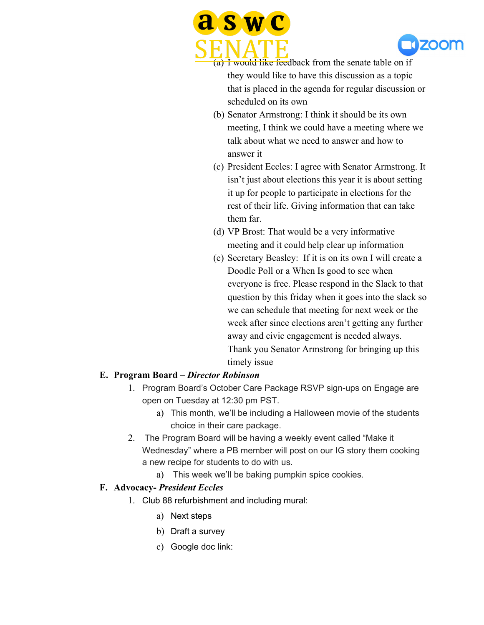



(a) I would like feedback from the senate table on if they would like to have this discussion as a topic that is placed in the agenda for regular discussion or scheduled on its own

- (b) Senator Armstrong: I think it should be its own meeting, I think we could have a meeting where we talk about what we need to answer and how to answer it
- (c) President Eccles: I agree with Senator Armstrong. It isn't just about elections this year it is about setting it up for people to participate in elections for the rest of their life. Giving information that can take them far.
- (d) VP Brost: That would be a very informative meeting and it could help clear up information
- (e) Secretary Beasley: If it is on its own I will create a Doodle Poll or a When Is good to see when everyone is free. Please respond in the Slack to that question by this friday when it goes into the slack so we can schedule that meeting for next week or the week after since elections aren't getting any further away and civic engagement is needed always. Thank you Senator Armstrong for bringing up this timely issue

### **E. Program Board –** *Director Robinson*

- 1. Program Board's October Care Package RSVP sign-ups on Engage are open on Tuesday at 12:30 pm PST.
	- a) This month, we'll be including a Halloween movie of the students choice in their care package.
- 2. The Program Board will be having a weekly event called "Make it Wednesday" where a PB member will post on our IG story them cooking a new recipe for students to do with us.
	- a) This week we'll be baking pumpkin spice cookies.

#### **F. Advocacy-** *President Eccles*

- 1. Club 88 refurbishment and including mural:
	- a) Next steps
	- b) Draft a survey
	- c) Google doc link: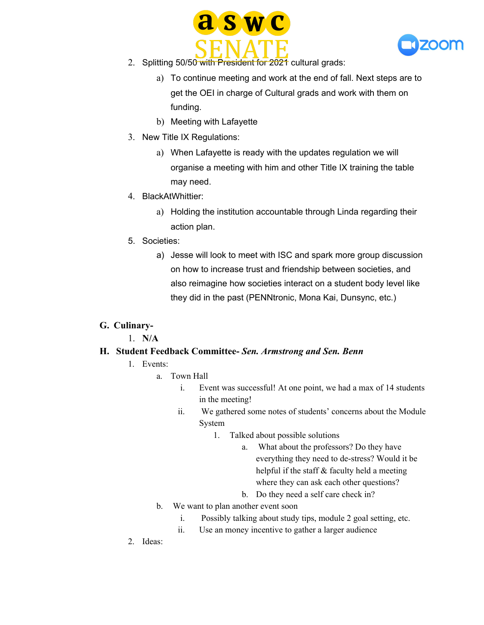



- 2. Splitting 50/50 with President for 2021 cultural grads:
	- a) To continue meeting and work at the end of fall. Next steps are to get the OEI in charge of Cultural grads and work with them on funding.
	- b) Meeting with Lafayette
- 3. New Title IX Regulations:
	- a) When Lafayette is ready with the updates regulation we will organise a meeting with him and other Title IX training the table may need.
- 4. BlackAtWhittier:
	- a) Holding the institution accountable through Linda regarding their action plan.
- 5. Societies:
	- a) Jesse will look to meet with ISC and spark more group discussion on how to increase trust and friendship between societies, and also reimagine how societies interact on a student body level like they did in the past (PENNtronic, Mona Kai, Dunsync, etc.)

### **G. Culinary-**

1. **N/A**

#### **H. Student Feedback Committee-** *Sen. Armstrong and Sen. Benn*

- 1. Events:
	- a. Town Hall
		- i. Event was successful! At one point, we had a max of 14 students in the meeting!
		- ii. We gathered some notes of students' concerns about the Module System
			- 1. Talked about possible solutions
				- a. What about the professors? Do they have everything they need to de-stress? Would it be helpful if the staff & faculty held a meeting where they can ask each other questions?
				- b. Do they need a self care check in?
		- b. We want to plan another event soon
			- i. Possibly talking about study tips, module 2 goal setting, etc.
			- ii. Use an money incentive to gather a larger audience
- 2. Ideas: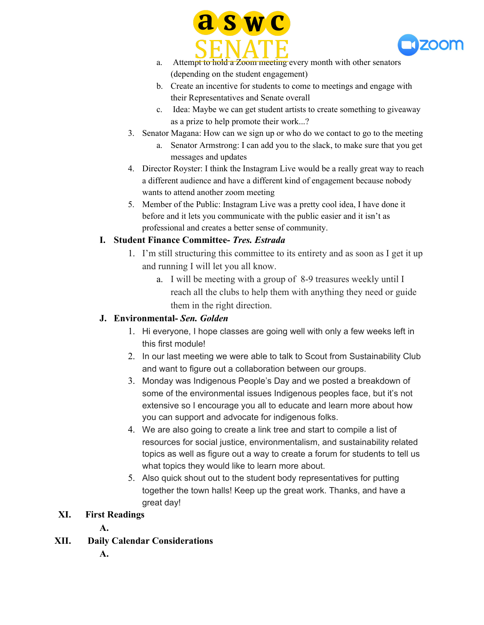



- a. Attempt to hold a Zoom meeting every month with other senators (depending on the student engagement)
- b. Create an incentive for students to come to meetings and engage with their Representatives and Senate overall
- c. Idea: Maybe we can get student artists to create something to giveaway as a prize to help promote their work...?
- 3. Senator Magana: How can we sign up or who do we contact to go to the meeting
	- a. Senator Armstrong: I can add you to the slack, to make sure that you get messages and updates
- 4. Director Royster: I think the Instagram Live would be a really great way to reach a different audience and have a different kind of engagement because nobody wants to attend another zoom meeting
- 5. Member of the Public: Instagram Live was a pretty cool idea, I have done it before and it lets you communicate with the public easier and it isn't as professional and creates a better sense of community.

### **I. Student Finance Committee-** *Tres. Estrada*

- 1. I'm still structuring this committee to its entirety and as soon as I get it up and running I will let you all know.
	- a. I will be meeting with a group of 8-9 treasures weekly until I reach all the clubs to help them with anything they need or guide them in the right direction.

# **J. Environmental-** *Sen. Golden*

- 1. Hi everyone, I hope classes are going well with only a few weeks left in this first module!
- 2. In our last meeting we were able to talk to Scout from Sustainability Club and want to figure out a collaboration between our groups.
- 3. Monday was Indigenous People's Day and we posted a breakdown of some of the environmental issues Indigenous peoples face, but it's not extensive so I encourage you all to educate and learn more about how you can support and advocate for indigenous folks.
- 4. We are also going to create a link tree and start to compile a list of resources for social justice, environmentalism, and sustainability related topics as well as figure out a way to create a forum for students to tell us what topics they would like to learn more about.
- 5. Also quick shout out to the student body representatives for putting together the town halls! Keep up the great work. Thanks, and have a great day!

### **XI. First Readings**

**A.**

# **XII. Daily Calendar Considerations**

**A.**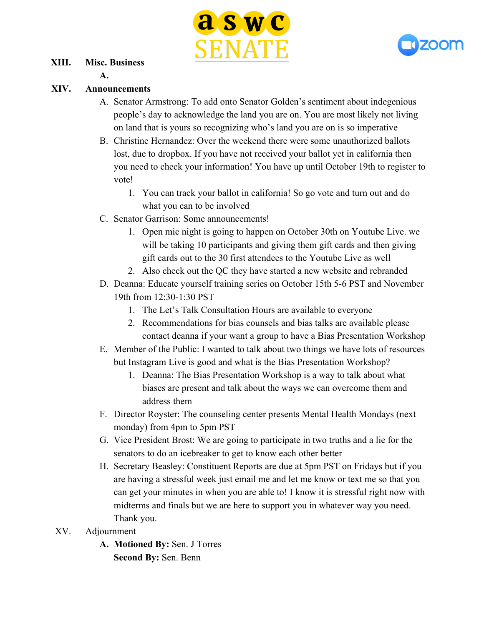



#### **XIII. Misc. Business**

**A.**

#### **XIV. Announcements**

- A. Senator Armstrong: To add onto Senator Golden's sentiment about indegenious people's day to acknowledge the land you are on. You are most likely not living on land that is yours so recognizing who's land you are on is so imperative
- B. Christine Hernandez: Over the weekend there were some unauthorized ballots lost, due to dropbox. If you have not received your ballot yet in california then you need to check your information! You have up until October 19th to register to vote!
	- 1. You can track your ballot in california! So go vote and turn out and do what you can to be involved
- C. Senator Garrison: Some announcements!
	- 1. Open mic night is going to happen on October 30th on Youtube Live. we will be taking 10 participants and giving them gift cards and then giving gift cards out to the 30 first attendees to the Youtube Live as well
	- 2. Also check out the QC they have started a new website and rebranded
- D. Deanna: Educate yourself training series on October 15th 5-6 PST and November 19th from 12:30-1:30 PST
	- 1. The Let's Talk Consultation Hours are available to everyone
	- 2. Recommendations for bias counsels and bias talks are available please contact deanna if your want a group to have a Bias Presentation Workshop
- E. Member of the Public: I wanted to talk about two things we have lots of resources but Instagram Live is good and what is the Bias Presentation Workshop?
	- 1. Deanna: The Bias Presentation Workshop is a way to talk about what biases are present and talk about the ways we can overcome them and address them
- F. Director Royster: The counseling center presents Mental Health Mondays (next monday) from 4pm to 5pm PST
- G. Vice President Brost: We are going to participate in two truths and a lie for the senators to do an icebreaker to get to know each other better
- H. Secretary Beasley: Constituent Reports are due at 5pm PST on Fridays but if you are having a stressful week just email me and let me know or text me so that you can get your minutes in when you are able to! I know it is stressful right now with midterms and finals but we are here to support you in whatever way you need. Thank you.
- XV. Adjournment
	- **A. Motioned By:** Sen. J Torres **Second By:** Sen. Benn